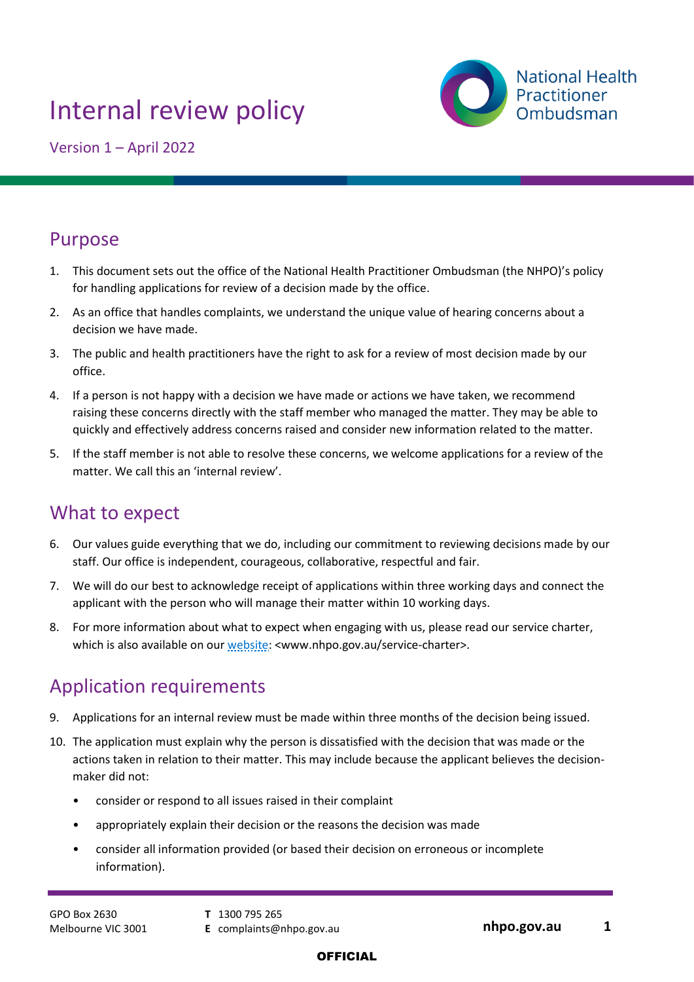# Internal review policy



Version 1 – April 2022

# Purpose

- 1. This document sets out the office of the National Health Practitioner Ombudsman (the NHPO)'s policy for handling applications for review of a decision made by the office.
- 2. As an office that handles complaints, we understand the unique value of hearing concerns about a decision we have made.
- 3. The public and health practitioners have the right to ask for a review of most decision made by our office.
- 4. If a person is not happy with a decision we have made or actions we have taken, we recommend raising these concerns directly with the staff member who managed the matter. They may be able to quickly and effectively address concerns raised and consider new information related to the matter.
- 5. If the staff member is not able to resolve these concerns, we welcome applications for a review of the matter. We call this an 'internal review'.

# What to expect

- 6. Our values guide everything that we do, including our commitment to reviewing decisions made by our staff. Our office is independent, courageous, collaborative, respectful and fair.
- 7. We will do our best to acknowledge receipt of applications within three working days and connect the applicant with the person who will manage their matter within 10 working days.
- 8. For more information about what to expect when engaging with us, please read our service charter, which is also available on our [website:](http://www.nhpo.gov.au/service-charter) <www.nhpo.gov.au/service-charter>.

# Application requirements

- 9. Applications for an internal review must be made within three months of the decision being issued.
- 10. The application must explain why the person is dissatisfied with the decision that was made or the actions taken in relation to their matter. This may include because the applicant believes the decisionmaker did not:
	- consider or respond to all issues raised in their complaint
	- appropriately explain their decision or the reasons the decision was made
	- consider all information provided (or based their decision on erroneous or incomplete information).

- **T** 1300 795 265
-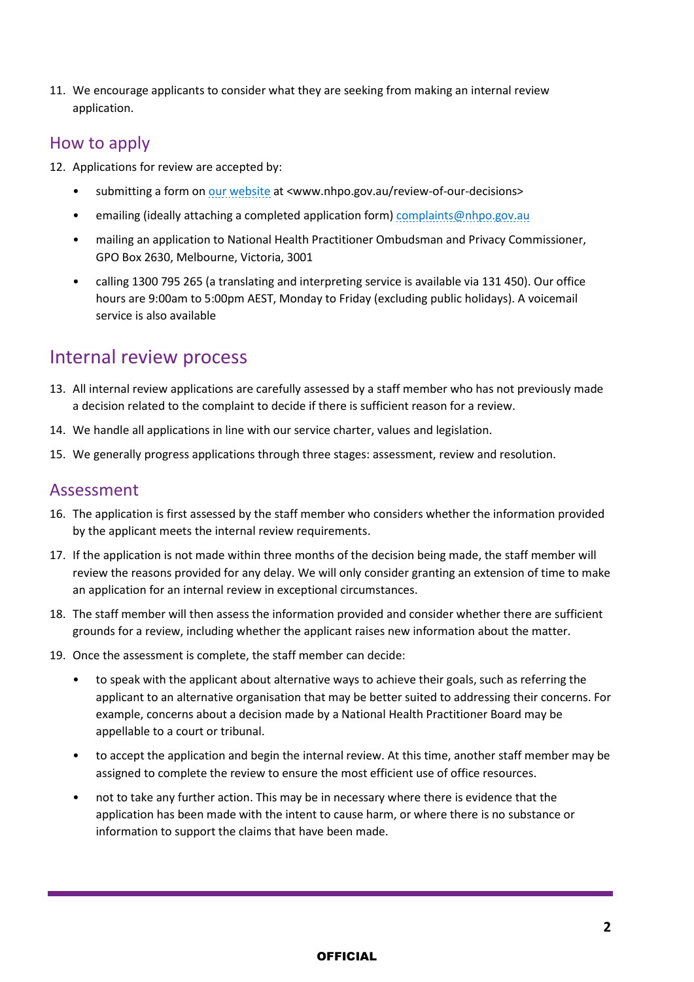11. We encourage applicants to consider what they are seeking from making an internal review application.

### How to apply

- 12. Applications for review are accepted by:
	- submitting a form on our website at <www.nhpo.gov.au/review-of-our-decisions>
	- emailing (ideally attaching a completed application form) [complaints@nhpo.gov.au](mailto:complaints@nhpo.gov.au)
	- mailing an application to National Health Practitioner Ombudsman and Privacy Commissioner, GPO Box 2630, Melbourne, Victoria, 3001
	- calling 1300 795 265 (a translating and interpreting service is available via 131 450). Our office hours are 9:00am to 5:00pm AEST, Monday to Friday (excluding public holidays). A voicemail service is also available

# Internal review process

- 13. All internal review applications are carefully assessed by a staff member who has not previously made a decision related to the complaint to decide if there is sufficient reason for a review.
- 14. We handle all applications in line with our service charter, values and legislation.
- 15. We generally progress applications through three stages: assessment, review and resolution.

#### Assessment

- 16. The application is first assessed by the staff member who considers whether the information provided by the applicant meets the internal review requirements.
- 17. If the application is not made within three months of the decision being made, the staff member will review the reasons provided for any delay. We will only consider granting an extension of time to make an application for an internal review in exceptional circumstances.
- 18. The staff member will then assess the information provided and consider whether there are sufficient grounds for a review, including whether the applicant raises new information about the matter.
- 19. Once the assessment is complete, the staff member can decide:
	- to speak with the applicant about alternative ways to achieve their goals, such as referring the applicant to an alternative organisation that may be better suited to addressing their concerns. For example, concerns about a decision made by a National Health Practitioner Board may be appellable to a court or tribunal.
	- to accept the application and begin the internal review. At this time, another staff member may be assigned to complete the review to ensure the most efficient use of office resources.
	- not to take any further action. This may be in necessary where there is evidence that the application has been made with the intent to cause harm, or where there is no substance or information to support the claims that have been made.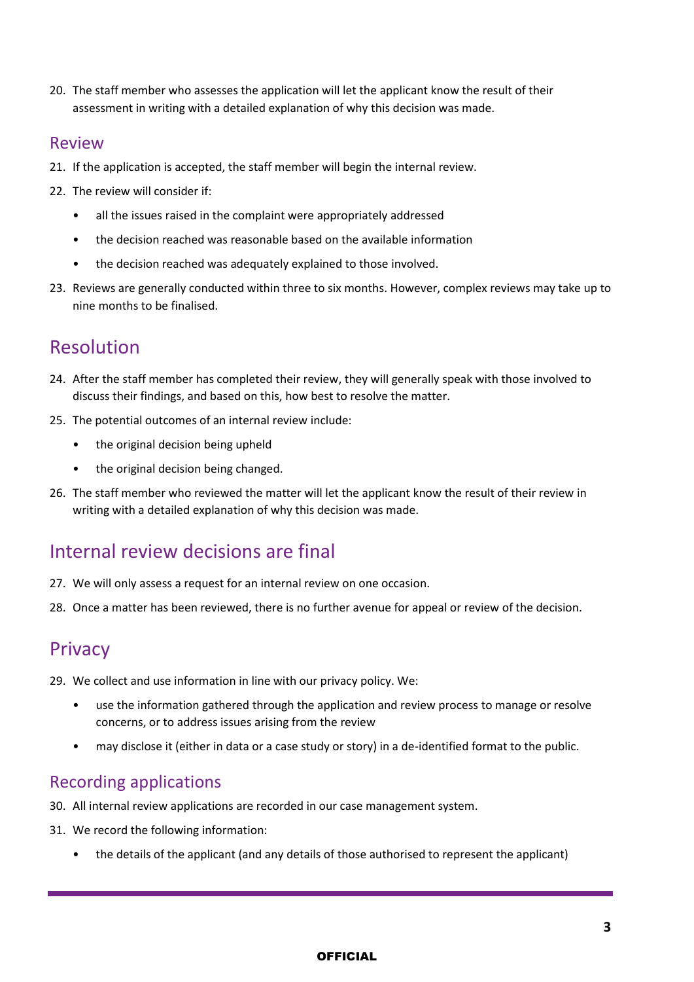20. The staff member who assesses the application will let the applicant know the result of their assessment in writing with a detailed explanation of why this decision was made.

#### Review

- 21. If the application is accepted, the staff member will begin the internal review.
- 22. The review will consider if:
	- all the issues raised in the complaint were appropriately addressed
	- the decision reached was reasonable based on the available information
	- the decision reached was adequately explained to those involved.
- 23. Reviews are generally conducted within three to six months. However, complex reviews may take up to nine months to be finalised.

# Resolution

- 24. After the staff member has completed their review, they will generally speak with those involved to discuss their findings, and based on this, how best to resolve the matter.
- 25. The potential outcomes of an internal review include:
	- the original decision being upheld
	- the original decision being changed.
- 26. The staff member who reviewed the matter will let the applicant know the result of their review in writing with a detailed explanation of why this decision was made.

# Internal review decisions are final

- 27. We will only assess a request for an internal review on one occasion.
- 28. Once a matter has been reviewed, there is no further avenue for appeal or review of the decision.

### **Privacy**

- 29. We collect and use information in line with our privacy policy. We:
	- use the information gathered through the application and review process to manage or resolve concerns, or to address issues arising from the review
	- may disclose it (either in data or a case study or story) in a de-identified format to the public.

#### Recording applications

- 30. All internal review applications are recorded in our case management system.
- 31. We record the following information:
	- the details of the applicant (and any details of those authorised to represent the applicant)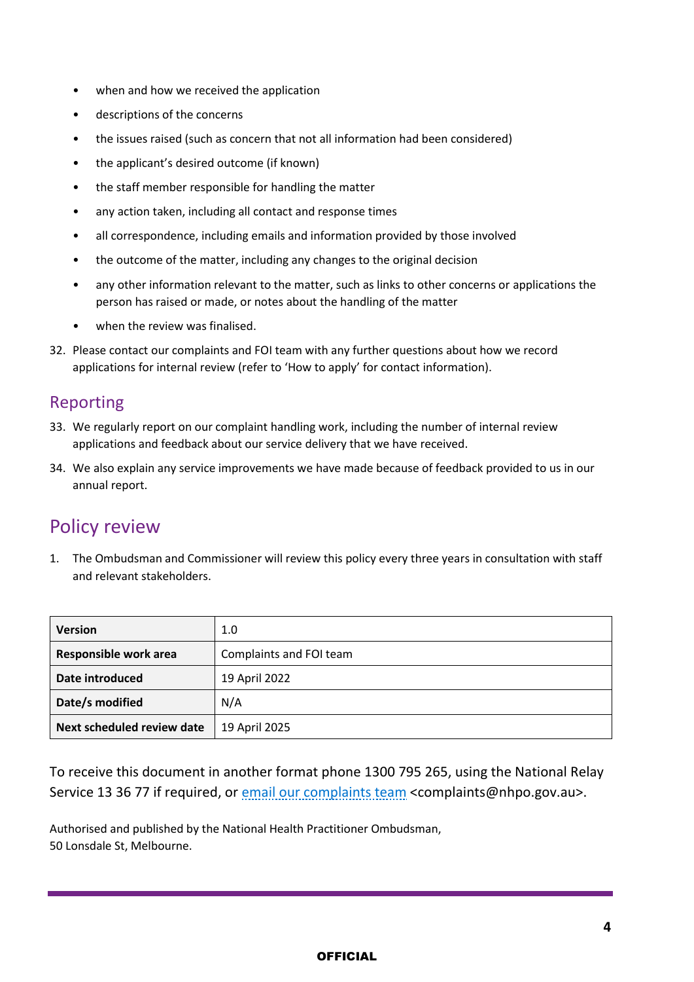- when and how we received the application
- descriptions of the concerns
- the issues raised (such as concern that not all information had been considered)
- the applicant's desired outcome (if known)
- the staff member responsible for handling the matter
- any action taken, including all contact and response times
- all correspondence, including emails and information provided by those involved
- the outcome of the matter, including any changes to the original decision
- any other information relevant to the matter, such as links to other concerns or applications the person has raised or made, or notes about the handling of the matter
- when the review was finalised.
- 32. Please contact our complaints and FOI team with any further questions about how we record applications for internal review (refer to 'How to apply' for contact information).

#### Reporting

- 33. We regularly report on our complaint handling work, including the number of internal review applications and feedback about our service delivery that we have received.
- 34. We also explain any service improvements we have made because of feedback provided to us in our annual report.

## Policy review

1. The Ombudsman and Commissioner will review this policy every three years in consultation with staff and relevant stakeholders.

| <b>Version</b>             | 1.0                     |
|----------------------------|-------------------------|
| Responsible work area      | Complaints and FOI team |
| Date introduced            | 19 April 2022           |
| Date/s modified            | N/A                     |
| Next scheduled review date | 19 April 2025           |

To receive this document in another format phone 1300 795 265, using the National Relay Service 13 36 77 if required, or [email our complaints](mailto:complaints@nhpo.gov.au) team <complaints@nhpo.gov.au>.

Authorised and published by the National Health Practitioner Ombudsman, 50 Lonsdale St, Melbourne.